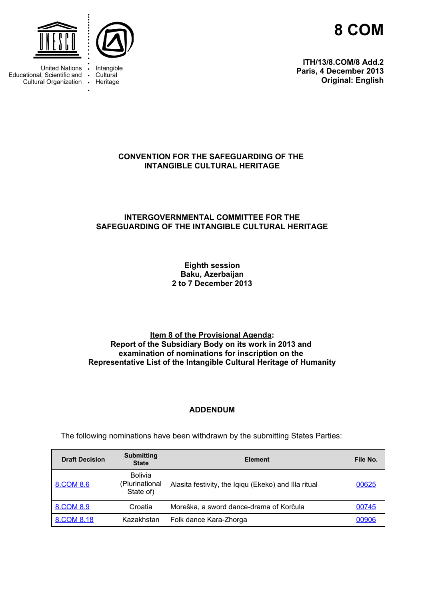

**ITH/13/8.COM/8 Add.2 Paris, 4 December 2013 Original: English**

<span id="page-0-1"></span>

**United Nations** Educational, Scientific and Cultural Organization .



Intangible Cultural Heritage

### **CONVENTION FOR THE SAFEGUARDING OF THE INTANGIBLE CULTURAL HERITAGE**

# <span id="page-0-0"></span>**INTERGOVERNMENTAL COMMITTEE FOR THE SAFEGUARDING OF THE INTANGIBLE CULTURAL HERITAGE**

**Eighth session Baku, Azerbaijan 2 to 7 December 2013**

#### **Item 8 of the Provisional Agenda: Report of the Subsidiary Body on its work in 2013 and examination of nominations for inscription on the Representative List of the Intangible Cultural Heritage of Humanity**

#### **ADDENDUM**

**Draft Decision Submitting State Element File No.** [8.COM 8.6](#page-0-1) Bolivia (Plurinational State of) Alasita festivity, the Iqiqu (Ekeko) and Illa ritual [00625](http://www.unesco.org/culture/ich/index.php?lg=en&pg=665#8.6) [8.COM 8.9](#page-0-1) Croatia Moreška, a sword dance-drama of Korčula [8.COM 8.18](#page-0-0) Kazakhstan Folk dance Kara-Zhorga 6[00906](http://www.unesco.org/culture/ich/index.php?lg=en&pg=665#8.18)

The following nominations have been withdrawn by the submitting States Parties: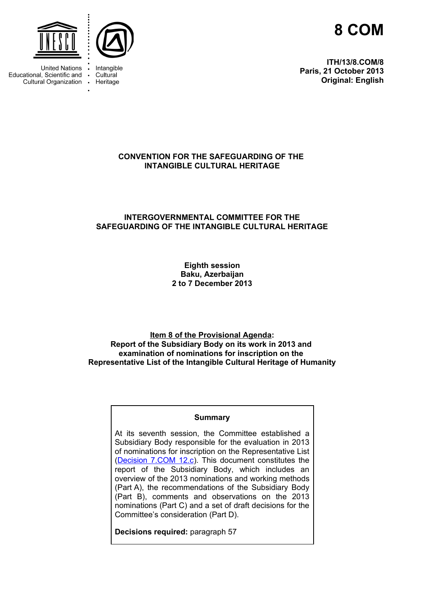

**ITH/13/8.COM/8 Paris, 21 October 2013 Original: English**



**United Nations** Educational, Scientific and • Cultural Organization .



Intangible Cultural Heritage

# **CONVENTION FOR THE SAFEGUARDING OF THE INTANGIBLE CULTURAL HERITAGE**

# **INTERGOVERNMENTAL COMMITTEE FOR THE SAFEGUARDING OF THE INTANGIBLE CULTURAL HERITAGE**

**Eighth session Baku, Azerbaijan 2 to 7 December 2013**

**Item 8 of the Provisional Agenda: Report of the Subsidiary Body on its work in 2013 and examination of nominations for inscription on the Representative List of the Intangible Cultural Heritage of Humanity**

#### **Summary**

At its seventh session, the Committee established a Subsidiary Body responsible for the evaluation in 2013 of nominations for inscription on the Representative List [\(Decision 7.COM 12.c\)](http://www.unesco.org/culture/ich/doc/src/ITH-12-7.COM-Decisions_-EN.doc). This document constitutes the report of the Subsidiary Body, which includes an overview of the 2013 nominations and working methods (Part A), the recommendations of the Subsidiary Body (Part B), comments and observations on the 2013 nominations (Part C) and a set of draft decisions for the Committee's consideration (Part D).

**Decisions required:** paragraph 57